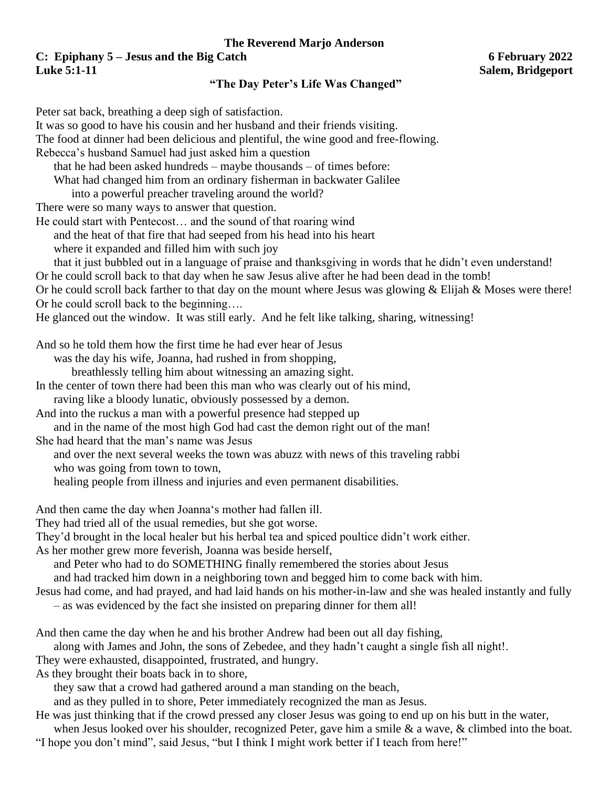## **The Reverend Marjo Anderson C: Epiphany 5 – Jesus and the Big Catch 6 February 2022**

## **Luke 5:1-11 Salem, Bridgeport**

## **"The Day Peter's Life Was Changed"**

Peter sat back, breathing a deep sigh of satisfaction. It was so good to have his cousin and her husband and their friends visiting. The food at dinner had been delicious and plentiful, the wine good and free-flowing. Rebecca's husband Samuel had just asked him a question that he had been asked hundreds – maybe thousands – of times before: What had changed him from an ordinary fisherman in backwater Galilee into a powerful preacher traveling around the world? There were so many ways to answer that question. He could start with Pentecost… and the sound of that roaring wind and the heat of that fire that had seeped from his head into his heart where it expanded and filled him with such joy that it just bubbled out in a language of praise and thanksgiving in words that he didn't even understand! Or he could scroll back to that day when he saw Jesus alive after he had been dead in the tomb! Or he could scroll back farther to that day on the mount where Jesus was glowing & Elijah & Moses were there! Or he could scroll back to the beginning…. He glanced out the window. It was still early. And he felt like talking, sharing, witnessing! And so he told them how the first time he had ever hear of Jesus was the day his wife, Joanna, had rushed in from shopping, breathlessly telling him about witnessing an amazing sight. In the center of town there had been this man who was clearly out of his mind, raving like a bloody lunatic, obviously possessed by a demon. And into the ruckus a man with a powerful presence had stepped up and in the name of the most high God had cast the demon right out of the man! She had heard that the man's name was Jesus and over the next several weeks the town was abuzz with news of this traveling rabbi who was going from town to town, healing people from illness and injuries and even permanent disabilities. And then came the day when Joanna's mother had fallen ill. They had tried all of the usual remedies, but she got worse. They'd brought in the local healer but his herbal tea and spiced poultice didn't work either. As her mother grew more feverish, Joanna was beside herself, and Peter who had to do SOMETHING finally remembered the stories about Jesus and had tracked him down in a neighboring town and begged him to come back with him. Jesus had come, and had prayed, and had laid hands on his mother-in-law and she was healed instantly and fully – as was evidenced by the fact she insisted on preparing dinner for them all! And then came the day when he and his brother Andrew had been out all day fishing, along with James and John, the sons of Zebedee, and they hadn't caught a single fish all night!. They were exhausted, disappointed, frustrated, and hungry. As they brought their boats back in to shore,

they saw that a crowd had gathered around a man standing on the beach,

and as they pulled in to shore, Peter immediately recognized the man as Jesus.

He was just thinking that if the crowd pressed any closer Jesus was going to end up on his butt in the water,

when Jesus looked over his shoulder, recognized Peter, gave him a smile & a wave, & climbed into the boat. "I hope you don't mind", said Jesus, "but I think I might work better if I teach from here!"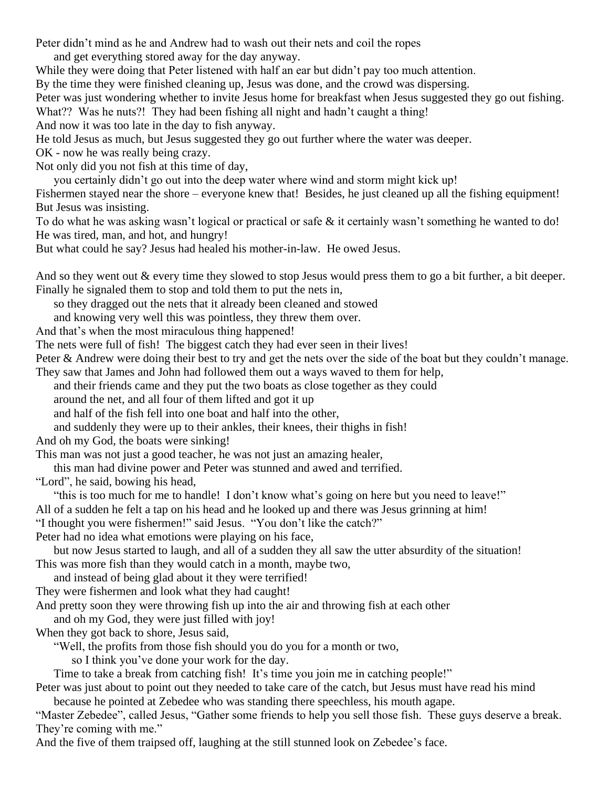Peter didn't mind as he and Andrew had to wash out their nets and coil the ropes

and get everything stored away for the day anyway.

While they were doing that Peter listened with half an ear but didn't pay too much attention.

By the time they were finished cleaning up, Jesus was done, and the crowd was dispersing.

Peter was just wondering whether to invite Jesus home for breakfast when Jesus suggested they go out fishing. What?? Was he nuts?! They had been fishing all night and hadn't caught a thing!

And now it was too late in the day to fish anyway.

He told Jesus as much, but Jesus suggested they go out further where the water was deeper.

OK - now he was really being crazy.

Not only did you not fish at this time of day,

you certainly didn't go out into the deep water where wind and storm might kick up!

Fishermen stayed near the shore – everyone knew that! Besides, he just cleaned up all the fishing equipment! But Jesus was insisting.

To do what he was asking wasn't logical or practical or safe & it certainly wasn't something he wanted to do! He was tired, man, and hot, and hungry!

But what could he say? Jesus had healed his mother-in-law. He owed Jesus.

And so they went out & every time they slowed to stop Jesus would press them to go a bit further, a bit deeper. Finally he signaled them to stop and told them to put the nets in,

so they dragged out the nets that it already been cleaned and stowed

and knowing very well this was pointless, they threw them over.

And that's when the most miraculous thing happened!

The nets were full of fish! The biggest catch they had ever seen in their lives!

Peter & Andrew were doing their best to try and get the nets over the side of the boat but they couldn't manage. They saw that James and John had followed them out a ways waved to them for help,

and their friends came and they put the two boats as close together as they could

around the net, and all four of them lifted and got it up

and half of the fish fell into one boat and half into the other,

and suddenly they were up to their ankles, their knees, their thighs in fish!

And oh my God, the boats were sinking!

This man was not just a good teacher, he was not just an amazing healer,

this man had divine power and Peter was stunned and awed and terrified.

"Lord", he said, bowing his head,

"this is too much for me to handle! I don't know what's going on here but you need to leave!"

All of a sudden he felt a tap on his head and he looked up and there was Jesus grinning at him!

"I thought you were fishermen!" said Jesus. "You don't like the catch?"

Peter had no idea what emotions were playing on his face,

but now Jesus started to laugh, and all of a sudden they all saw the utter absurdity of the situation! This was more fish than they would catch in a month, maybe two,

and instead of being glad about it they were terrified!

They were fishermen and look what they had caught!

And pretty soon they were throwing fish up into the air and throwing fish at each other

and oh my God, they were just filled with joy!

When they got back to shore, Jesus said,

"Well, the profits from those fish should you do you for a month or two,

so I think you've done your work for the day.

Time to take a break from catching fish! It's time you join me in catching people!"

Peter was just about to point out they needed to take care of the catch, but Jesus must have read his mind because he pointed at Zebedee who was standing there speechless, his mouth agape.

"Master Zebedee", called Jesus, "Gather some friends to help you sell those fish. These guys deserve a break. They're coming with me."

And the five of them traipsed off, laughing at the still stunned look on Zebedee's face.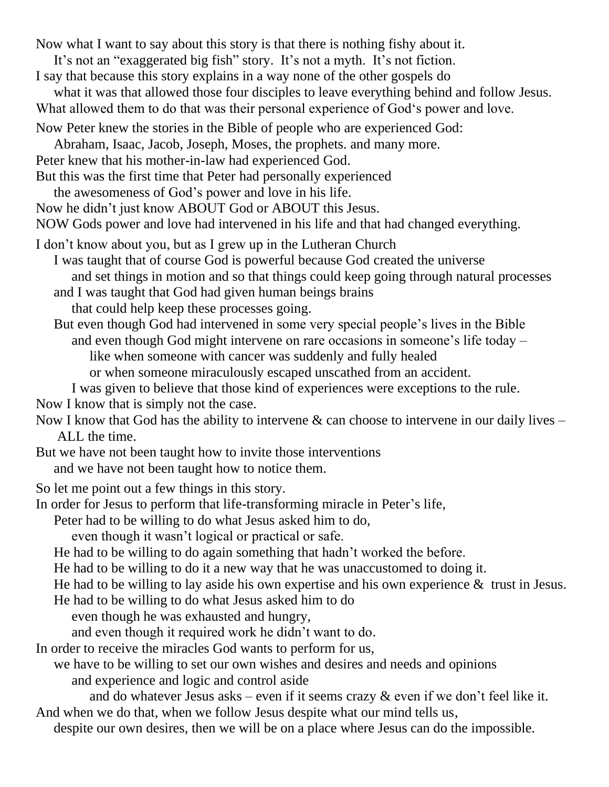Now what I want to say about this story is that there is nothing fishy about it.

- It's not an "exaggerated big fish" story. It's not a myth. It's not fiction.
- I say that because this story explains in a way none of the other gospels do
- what it was that allowed those four disciples to leave everything behind and follow Jesus. What allowed them to do that was their personal experience of God's power and love.
- Now Peter knew the stories in the Bible of people who are experienced God:
- Abraham, Isaac, Jacob, Joseph, Moses, the prophets. and many more.
- Peter knew that his mother-in-law had experienced God.
- But this was the first time that Peter had personally experienced
- the awesomeness of God's power and love in his life.
- Now he didn't just know ABOUT God or ABOUT this Jesus.
- NOW Gods power and love had intervened in his life and that had changed everything.
- I don't know about you, but as I grew up in the Lutheran Church
	- I was taught that of course God is powerful because God created the universe and set things in motion and so that things could keep going through natural processes and I was taught that God had given human beings brains
	- that could help keep these processes going.
	- But even though God had intervened in some very special people's lives in the Bible and even though God might intervene on rare occasions in someone's life today – like when someone with cancer was suddenly and fully healed
		- or when someone miraculously escaped unscathed from an accident.
		- I was given to believe that those kind of experiences were exceptions to the rule.
- Now I know that is simply not the case.
- Now I know that God has the ability to intervene  $\&$  can choose to intervene in our daily lives ALL the time.
- But we have not been taught how to invite those interventions and we have not been taught how to notice them.
- So let me point out a few things in this story.
- In order for Jesus to perform that life-transforming miracle in Peter's life,
	- Peter had to be willing to do what Jesus asked him to do,
		- even though it wasn't logical or practical or safe.
	- He had to be willing to do again something that hadn't worked the before.
	- He had to be willing to do it a new way that he was unaccustomed to doing it.
	- He had to be willing to lay aside his own expertise and his own experience & trust in Jesus.
	- He had to be willing to do what Jesus asked him to do
		- even though he was exhausted and hungry,
		- and even though it required work he didn't want to do.
- In order to receive the miracles God wants to perform for us,
	- we have to be willing to set our own wishes and desires and needs and opinions and experience and logic and control aside
- and do whatever Jesus asks even if it seems crazy & even if we don't feel like it. And when we do that, when we follow Jesus despite what our mind tells us,
- despite our own desires, then we will be on a place where Jesus can do the impossible.